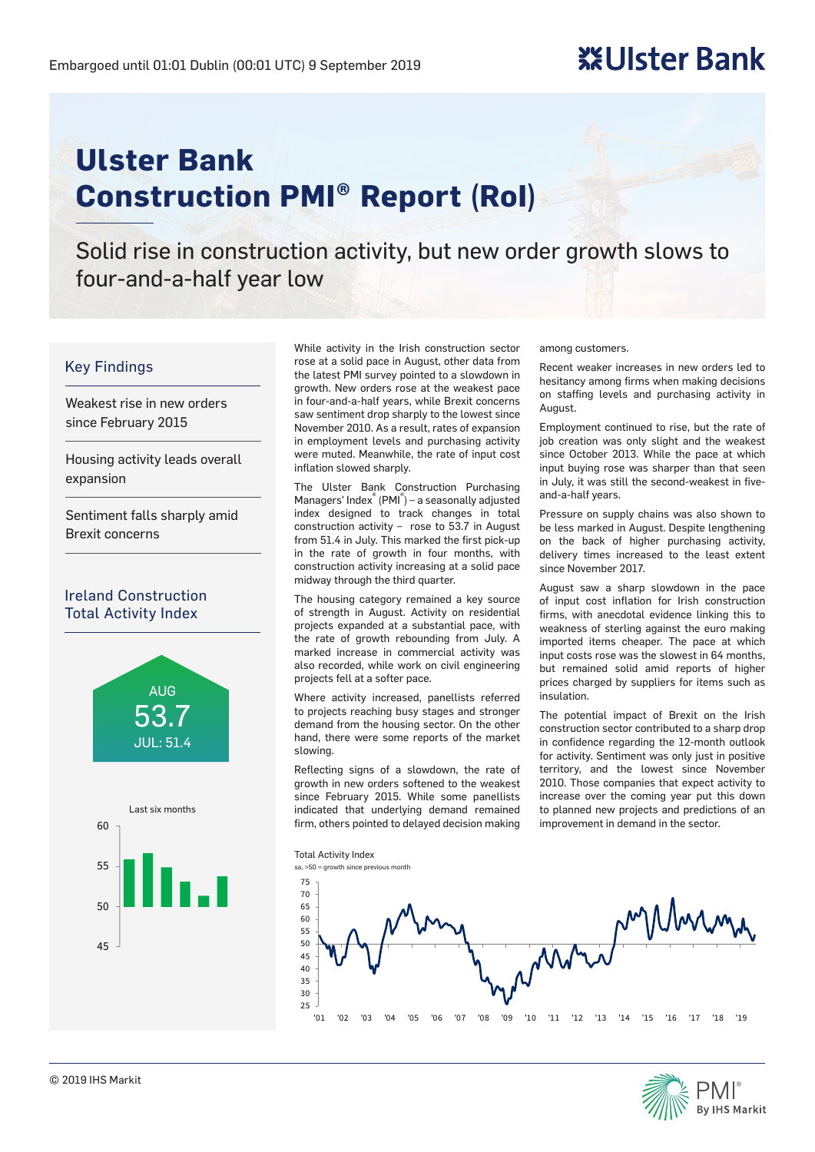# **※Ulster Bank**

# **Ulster Bank Construction PMI® Report (RoI)**

Solid rise in construction activity, but new order growth slows to four-and-a-half year low

#### Key Findings

Weakest rise in new orders since February 2015

Housing activity leads overall expansion

Sentiment falls sharply amid Brexit concerns

#### Ireland Construction Total Activity Index



While activity in the Irish construction sector rose at a solid pace in August, other data from the latest PMI survey pointed to a slowdown in growth. New orders rose at the weakest pace in four-and-a-half years, while Brexit concerns saw sentiment drop sharply to the lowest since November 2010. As a result, rates of expansion in employment levels and purchasing activity were muted. Meanwhile, the rate of input cost inflation slowed sharply.

The Ulster Bank Construction Purchasing Managers' Index<sup>®</sup> (PMI<sup>®</sup>) – a seasonally adjusted index designed to track changes in total construction activity – rose to 53.7 in August from 51.4 in July. This marked the first pick-up in the rate of growth in four months, with construction activity increasing at a solid pace midway through the third quarter.

The housing category remained a key source of strength in August. Activity on residential projects expanded at a substantial pace, with the rate of growth rebounding from July. A marked increase in commercial activity was also recorded, while work on civil engineering projects fell at a softer pace.

Where activity increased, panellists referred to projects reaching busy stages and stronger demand from the housing sector. On the other hand, there were some reports of the market slowing.

Reflecting signs of a slowdown, the rate of growth in new orders softened to the weakest since February 2015. While some panellists indicated that underlying demand remained firm, others pointed to delayed decision making among customers.

Recent weaker increases in new orders led to hesitancy among firms when making decisions on staffing levels and purchasing activity in August.

Employment continued to rise, but the rate of job creation was only slight and the weakest since October 2013. While the pace at which input buying rose was sharper than that seen in July, it was still the second-weakest in fiveand-a-half years.

Pressure on supply chains was also shown to be less marked in August. Despite lengthening on the back of higher purchasing activity, delivery times increased to the least extent since November 2017.

August saw a sharp slowdown in the pace of input cost inflation for Irish construction firms, with anecdotal evidence linking this to weakness of sterling against the euro making imported items cheaper. The pace at which input costs rose was the slowest in 64 months, but remained solid amid reports of higher prices charged by suppliers for items such as insulation.

The potential impact of Brexit on the Irish construction sector contributed to a sharp drop in confidence regarding the 12-month outlook for activity. Sentiment was only just in positive territory, and the lowest since November 2010. Those companies that expect activity to increase over the coming year put this down to planned new projects and predictions of an improvement in demand in the sector.



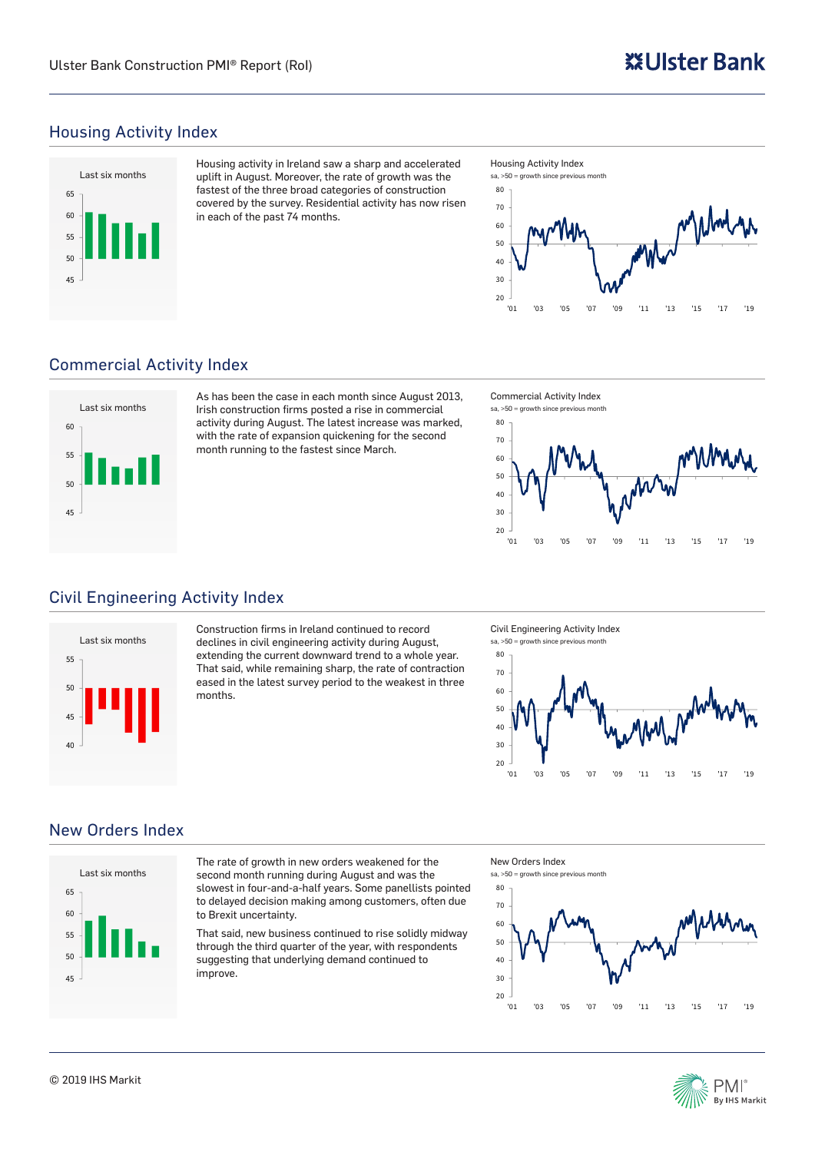# Housing Activity Index



Housing activity in Ireland saw a sharp and accelerated uplift in August. Moreover, the rate of growth was the fastest of the three broad categories of construction covered by the survey. Residential activity has now risen in each of the past 74 months.



# Commercial Activity Index



As has been the case in each month since August 2013, Irish construction firms posted a rise in commercial activity during August. The latest increase was marked, with the rate of expansion quickening for the second month running to the fastest since March.

Commercial Activity Index





# Civil Engineering Activity Index



Construction firms in Ireland continued to record declines in civil engineering activity during August, extending the current downward trend to a whole year. That said, while remaining sharp, the rate of contraction eased in the latest survey period to the weakest in three months.

Civil Engineering Activity Index sa, >50 = growth since previous month



## New Orders Index



The rate of growth in new orders weakened for the second month running during August and was the slowest in four-and-a-half years. Some panellists pointed to delayed decision making among customers, often due to Brexit uncertainty.

That said, new business continued to rise solidly midway through the third quarter of the year, with respondents suggesting that underlying demand continued to improve.







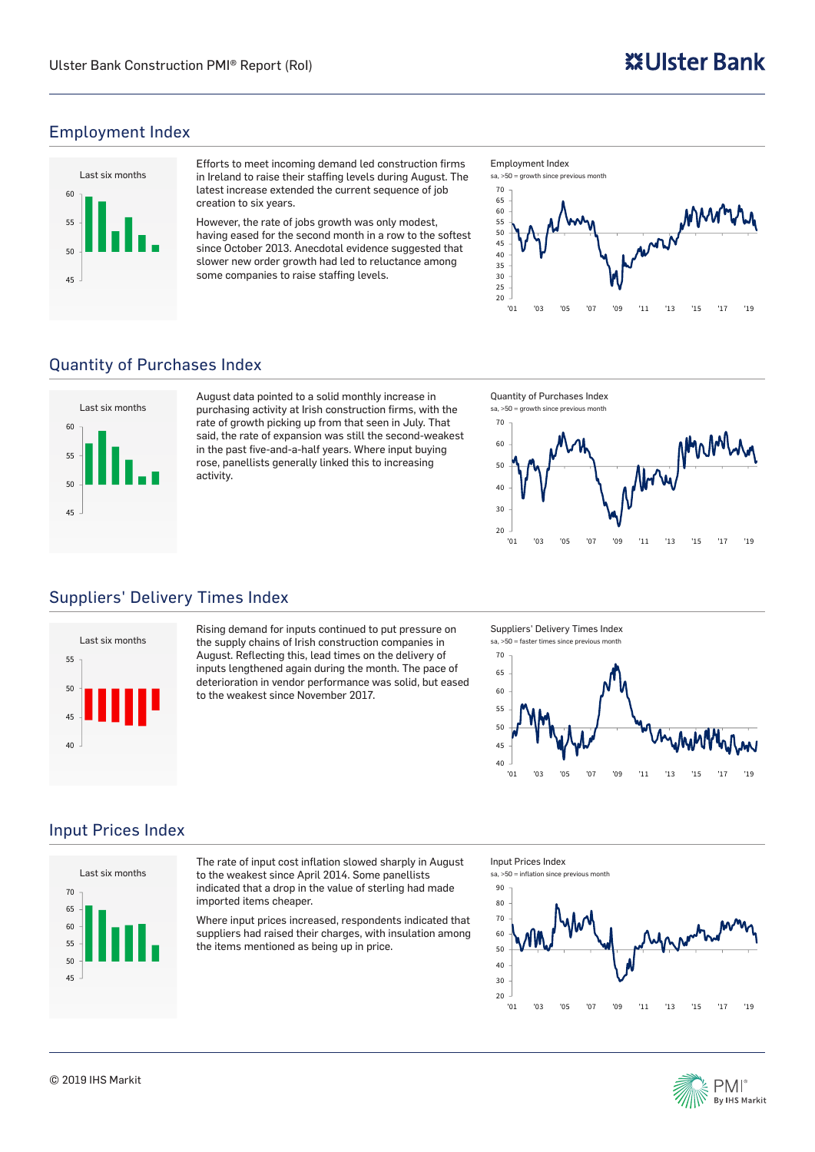# Employment Index



Efforts to meet incoming demand led construction firms in Ireland to raise their staffing levels during August. The latest increase extended the current sequence of job creation to six years.

However, the rate of jobs growth was only modest, having eased for the second month in a row to the softest since October 2013. Anecdotal evidence suggested that slower new order growth had led to reluctance among some companies to raise staffing levels.

Employment Index



# Quantity of Purchases Index



August data pointed to a solid monthly increase in purchasing activity at Irish construction firms, with the rate of growth picking up from that seen in July. That said, the rate of expansion was still the second-weakest in the past five-and-a-half years. Where input buying rose, panellists generally linked this to increasing activity.

Quantity of Purchases Index



# Suppliers' Delivery Times Index



Rising demand for inputs continued to put pressure on the supply chains of Irish construction companies in August. Reflecting this, lead times on the delivery of inputs lengthened again during the month. The pace of deterioration in vendor performance was solid, but eased to the weakest since November 2017.

Suppliers' Delivery Times Index



# Input Prices Index



The rate of input cost inflation slowed sharply in August to the weakest since April 2014. Some panellists indicated that a drop in the value of sterling had made imported items cheaper.

Where input prices increased, respondents indicated that suppliers had raised their charges, with insulation among the items mentioned as being up in price.

Input Prices Index  $sa$ ,  $50$  = inflation since previous month



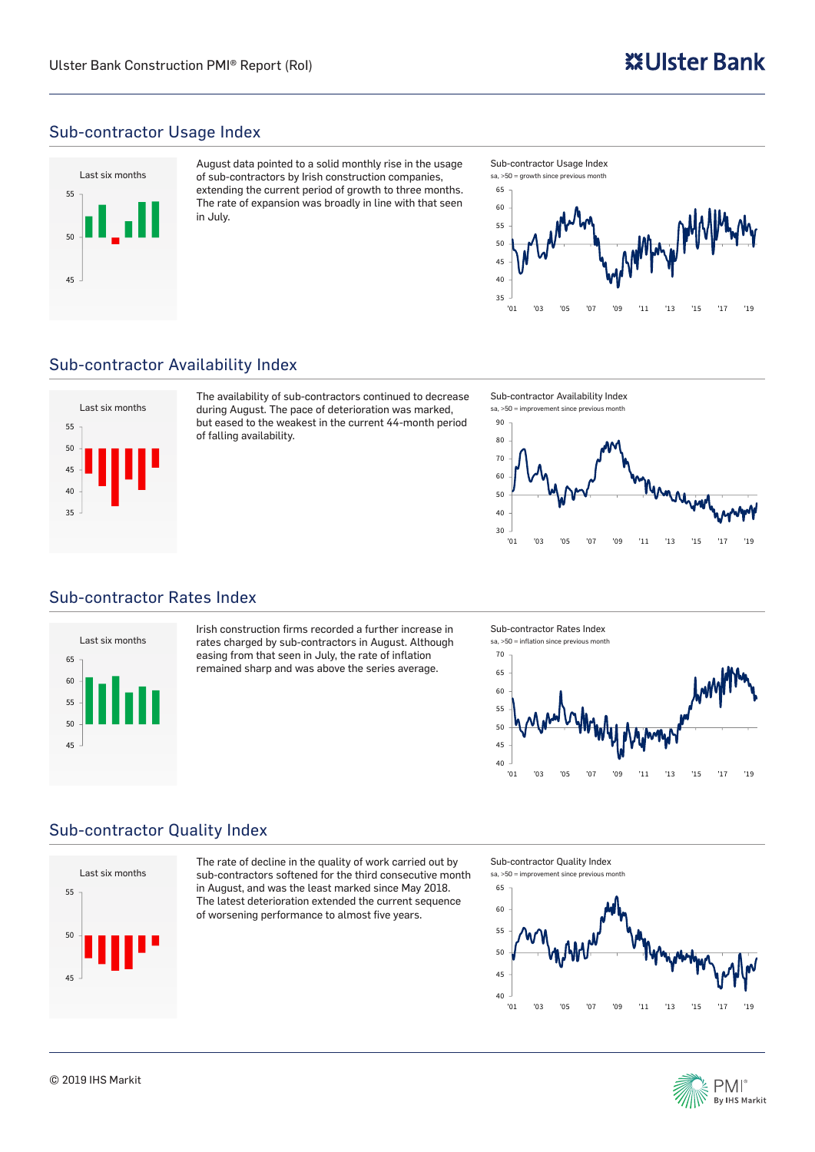## Sub-contractor Usage Index



August data pointed to a solid monthly rise in the usage of sub-contractors by Irish construction companies, extending the current period of growth to three months. The rate of expansion was broadly in line with that seen in July.



#### Sub-contractor Availability Index



The availability of sub-contractors continued to decrease during August. The pace of deterioration was marked, but eased to the weakest in the current 44-month period of falling availability.

Sub-contractor Availability Index sa, >50 = improvement since previous month



## Sub-contractor Rates Index



Irish construction firms recorded a further increase in rates charged by sub-contractors in August. Although easing from that seen in July, the rate of inflation remained sharp and was above the series average.

Sub-contractor Rates Index



## Sub-contractor Quality Index



The rate of decline in the quality of work carried out by sub-contractors softened for the third consecutive month in August, and was the least marked since May 2018. The latest deterioration extended the current sequence of worsening performance to almost five years.

Sub-contractor Quality Index  $sa$ ,  $50 \equiv$  improvement since previous month



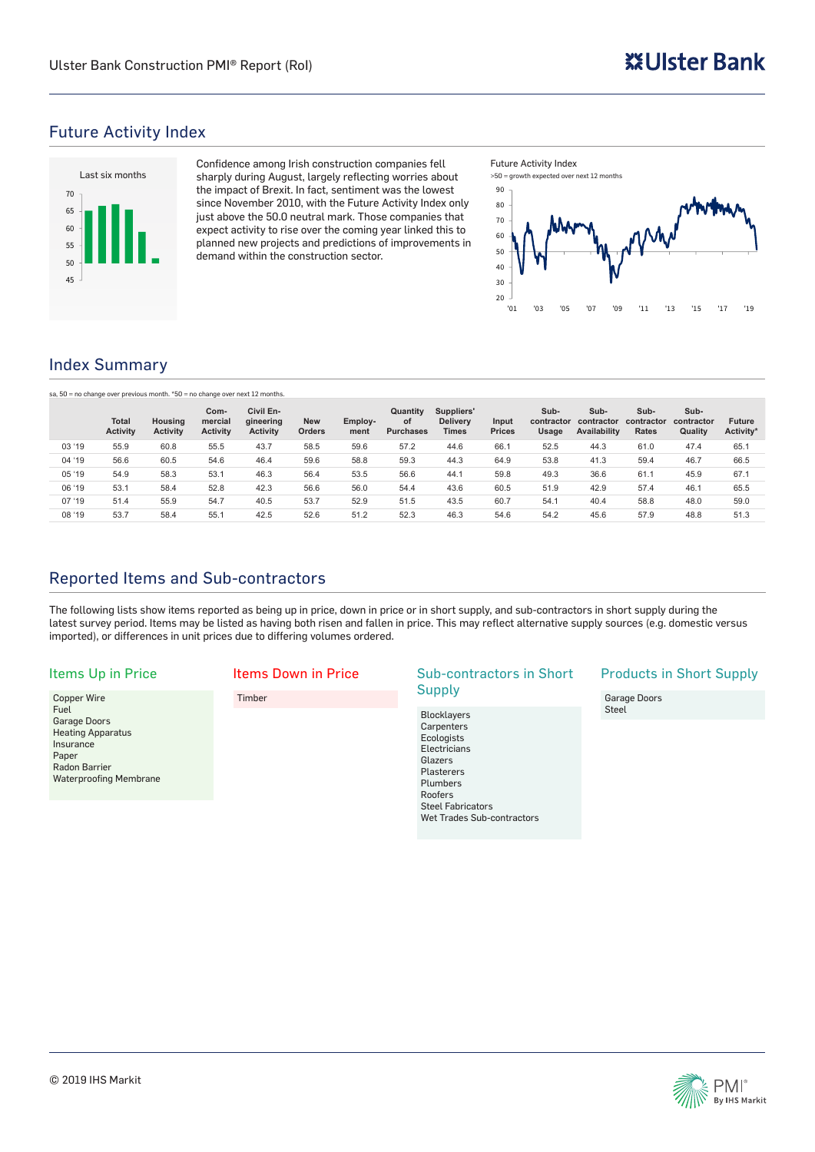#### Future Activity Index



Confidence among Irish construction companies fell sharply during August, largely reflecting worries about the impact of Brexit. In fact, sentiment was the lowest since November 2010, with the Future Activity Index only just above the 50.0 neutral mark. Those companies that expect activity to rise over the coming year linked this to planned new projects and predictions of improvements in demand within the construction sector.





## Index Summary

|  | sa, 50 = no change over previous month. *50 = no change over next 12 months. |  |  |  |  |
|--|------------------------------------------------------------------------------|--|--|--|--|
|--|------------------------------------------------------------------------------|--|--|--|--|

|        | <b>Total</b><br><b>Activity</b> | Housing<br><b>Activity</b> | Com-<br>mercial<br><b>Activity</b> | Civil En-<br>gineering<br><b>Activity</b> | <b>New</b><br>Orders | Employ-<br>ment | Quantity<br><b>of</b><br><b>Purchases</b> | Suppliers'<br><b>Delivery</b><br><b>Times</b> | Input<br><b>Prices</b> | Sub-<br>contractor<br>Usage | Sub-<br>contractor<br>Availability | Sub-<br>contractor<br><b>Rates</b> | Sub-<br>contractor<br>Quality | <b>Future</b><br>Activity* |
|--------|---------------------------------|----------------------------|------------------------------------|-------------------------------------------|----------------------|-----------------|-------------------------------------------|-----------------------------------------------|------------------------|-----------------------------|------------------------------------|------------------------------------|-------------------------------|----------------------------|
| 03 '19 | 55.9                            | 60.8                       | 55.5                               | 43.7                                      | 58.5                 | 59.6            | 57.2                                      | 44.6                                          | 66.1                   | 52.5                        | 44.3                               | 61.0                               | 47.4                          | 65.1                       |
| 04 '19 | 56.6                            | 60.5                       | 54.6                               | 46.4                                      | 59.6                 | 58.8            | 59.3                                      | 44.3                                          | 64.9                   | 53.8                        | 41.3                               | 59.4                               | 46.7                          | 66.5                       |
| 05 '19 | 54.9                            | 58.3                       | 53.1                               | 46.3                                      | 56.4                 | 53.5            | 56.6                                      | 44.1                                          | 59.8                   | 49.3                        | 36.6                               | 61.7                               | 45.9                          | 67.1                       |
| 06 '19 | 53.1                            | 58.4                       | 52.8                               | 42.3                                      | 56.6                 | 56.0            | 54.4                                      | 43.6                                          | 60.5                   | 51.9                        | 42.9                               | 57.4                               | 46.1                          | 65.5                       |
| 07 '19 | 51.4                            | 55.9                       | 54.7                               | 40.5                                      | 53.7                 | 52.9            | 51.5                                      | 43.5                                          | 60.7                   | 54.1                        | 40.4                               | 58.8                               | 48.0                          | 59.0                       |
| 08 '19 | 53.7                            | 58.4                       | 55.1                               | 42.5                                      | 52.6                 | 51.2            | 52.3                                      | 46.3                                          | 54.6                   | 54.2                        | 45.6                               | 57.9                               | 48.8                          | 51.3                       |

# Reported Items and Sub-contractors

The following lists show items reported as being up in price, down in price or in short supply, and sub-contractors in short supply during the latest survey period. Items may be listed as having both risen and fallen in price. This may reflect alternative supply sources (e.g. domestic versus imported), or differences in unit prices due to differing volumes ordered.

#### Items Up in Price

Copper Wire Fuel Garage Doors Heating Apparatus **Insurance** Paper Radon Barrier Waterproofing Membrane

#### Items Down in Price

## Timber

#### Sub-contractors in Short **Supply**

Blocklayers Carpenters **Ecologists Electricians** Glazers Plasterers Plumbers Roofers Steel Fabricators Wet Trades Sub-contractors

#### Products in Short Supply

Garage Doors **Steel** 

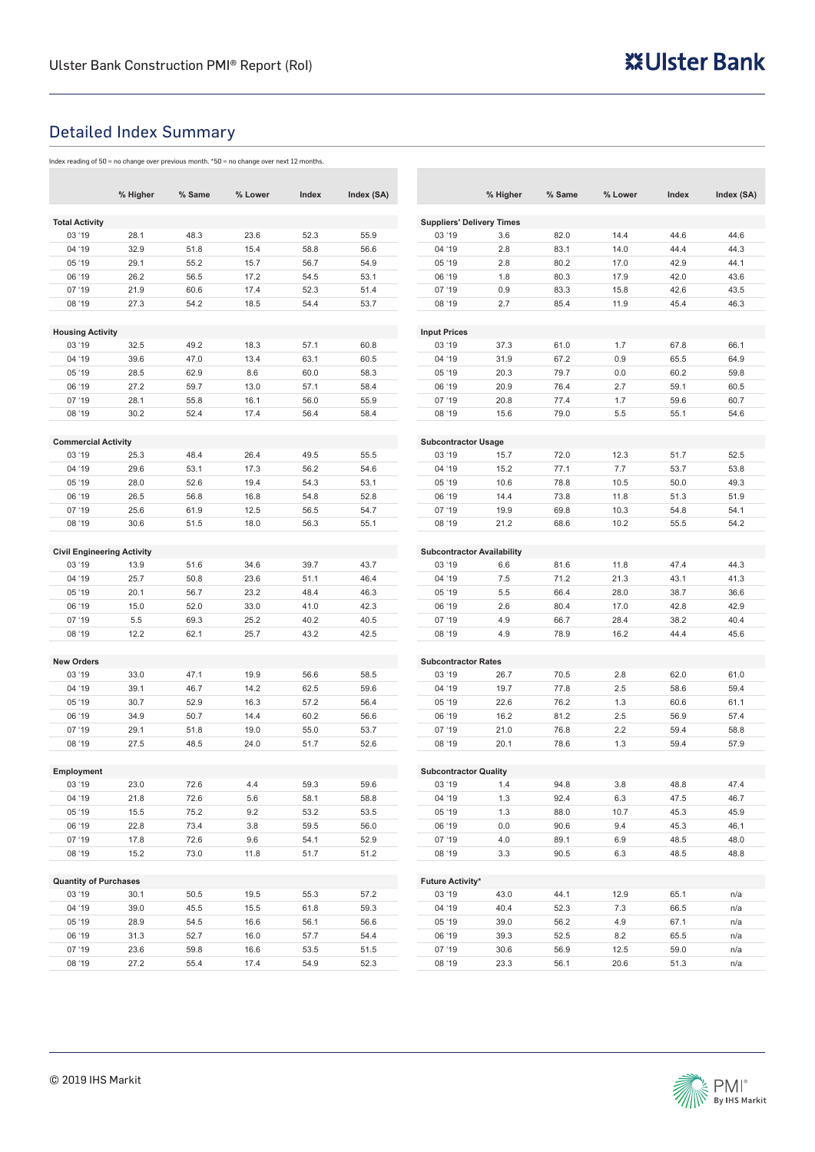# Detailed Index Summary

Index reading of 50 = no change over previous month. \*50 = no change over next 12 months.

|                                   | % Higher | % Same | % Lower | Index | Index (SA) |                                   | % Higher     | % Same | % Lower      | Index | Index (SA) |  |  |  |
|-----------------------------------|----------|--------|---------|-------|------------|-----------------------------------|--------------|--------|--------------|-------|------------|--|--|--|
| <b>Total Activity</b>             |          |        |         |       |            | <b>Suppliers' Delivery Times</b>  |              |        |              |       |            |  |  |  |
| 03 '19                            | 28.1     | 48.3   | 23.6    | 52.3  | 55.9       | 03 '19                            | 3.6          | 82.0   | 14.4         | 44.6  | 44.6       |  |  |  |
| 04 '19                            | 32.9     | 51.8   | 15.4    | 58.8  | 56.6       | 04 '19                            | 2.8          | 83.1   | 14.0         | 44.4  | 44.3       |  |  |  |
| 05 '19                            | 29.1     | 55.2   | 15.7    | 56.7  | 54.9       | 05 '19                            | 2.8          | 80.2   | 17.0         | 42.9  | 44.1       |  |  |  |
| 06 '19                            | 26.2     | 56.5   | 17.2    | 54.5  | 53.1       | 06 '19                            | 1.8          | 80.3   | 17.9         | 42.0  | 43.6       |  |  |  |
| 07 '19                            | 21.9     | 60.6   | 17.4    | 52.3  | 51.4       | 07 '19                            | 0.9          | 83.3   | 15.8         | 42.6  | 43.5       |  |  |  |
| 08 '19                            | 27.3     | 54.2   | 18.5    | 54.4  | 53.7       | 08 '19                            | 2.7          | 85.4   | 11.9         | 45.4  | 46.3       |  |  |  |
|                                   |          |        |         |       |            |                                   |              |        |              |       |            |  |  |  |
| <b>Housing Activity</b>           |          |        |         |       |            | <b>Input Prices</b>               |              |        |              |       |            |  |  |  |
| 03 '19                            | 32.5     | 49.2   | 18.3    | 57.1  | 60.8       | 03 '19                            | 37.3         | 61.0   | 1.7          | 67.8  | 66.1       |  |  |  |
| 04 '19                            | 39.6     | 47.0   | 13.4    | 63.1  | 60.5       | 04 '19                            | 31.9         | 67.2   | 0.9          | 65.5  | 64.9       |  |  |  |
| 05 '19                            | 28.5     | 62.9   | 8.6     | 60.0  | 58.3       | 05 '19                            | 20.3         | 79.7   | 0.0          | 60.2  | 59.8       |  |  |  |
| 06 '19                            | 27.2     | 59.7   | 13.0    | 57.1  | 58.4       | 06 '19                            | 20.9         | 76.4   | 2.7          | 59.1  | 60.5       |  |  |  |
| 07 '19                            | 28.1     | 55.8   | 16.1    | 56.0  | 55.9       | 07 '19                            | 20.8         | 77.4   | 1.7          | 59.6  | 60.7       |  |  |  |
| 08 '19                            | 30.2     | 52.4   | 17.4    | 56.4  | 58.4       | 08 '19                            | 15.6         | 79.0   | 5.5          | 55.1  | 54.6       |  |  |  |
| <b>Commercial Activity</b>        |          |        |         |       |            | <b>Subcontractor Usage</b>        |              |        |              |       |            |  |  |  |
| 03 '19                            | 25.3     | 48.4   | 26.4    | 49.5  | 55.5       | 03 '19                            | 15.7         | 72.0   | 12.3         | 51.7  | 52.5       |  |  |  |
| 04 '19                            | 29.6     | 53.1   | 17.3    | 56.2  | 54.6       | 04 '19                            | 15.2         | 77.1   | 7.7          | 53.7  | 53.8       |  |  |  |
| 05 '19                            | 28.0     | 52.6   | 19.4    | 54.3  | 53.1       | 05 '19                            | 10.6         | 78.8   | 10.5         | 50.0  | 49.3       |  |  |  |
|                                   |          |        |         |       |            | 06 '19                            |              |        |              |       |            |  |  |  |
| 06 '19<br>07 '19                  | 26.5     | 56.8   | 16.8    | 54.8  | 52.8       | 07 '19                            | 14.4<br>19.9 | 73.8   | 11.8<br>10.3 | 51.3  | 51.9       |  |  |  |
|                                   | 25.6     | 61.9   | 12.5    | 56.5  | 54.7       |                                   |              | 69.8   |              | 54.8  | 54.1       |  |  |  |
| 08 '19                            | 30.6     | 51.5   | 18.0    | 56.3  | 55.1       | 08 '19                            | 21.2         | 68.6   | 10.2         | 55.5  | 54.2       |  |  |  |
| <b>Civil Engineering Activity</b> |          |        |         |       |            | <b>Subcontractor Availability</b> |              |        |              |       |            |  |  |  |
| 03 '19                            | 13.9     | 51.6   | 34.6    | 39.7  | 43.7       | 03 '19                            | 6.6          | 81.6   | 11.8         | 47.4  | 44.3       |  |  |  |
| 04 '19                            | 25.7     | 50.8   | 23.6    | 51.1  | 46.4       | 04 '19                            | 7.5          | 71.2   | 21.3         | 43.1  | 41.3       |  |  |  |
| 05 '19                            | 20.1     | 56.7   | 23.2    | 48.4  | 46.3       | 05 '19                            | 5.5          | 66.4   | 28.0         | 38.7  | 36.6       |  |  |  |
| 06 '19                            | 15.0     | 52.0   | 33.0    | 41.0  | 42.3       | 06 '19                            | 2.6          | 80.4   | 17.0         | 42.8  | 42.9       |  |  |  |
| 07 '19                            | 5.5      | 69.3   | 25.2    | 40.2  | 40.5       | 07 '19                            | 4.9          | 66.7   | 28.4         | 38.2  | 40.4       |  |  |  |
| 08 '19                            | 12.2     | 62.1   | 25.7    | 43.2  | 42.5       | 08 '19                            | 4.9          | 78.9   | 16.2         | 44.4  | 45.6       |  |  |  |
|                                   |          |        |         |       |            |                                   |              |        |              |       |            |  |  |  |
| <b>New Orders</b>                 |          |        |         |       |            | <b>Subcontractor Rates</b>        |              |        |              |       |            |  |  |  |
| 03 '19                            | 33.0     | 47.1   | 19.9    | 56.6  | 58.5       | 03 '19                            | 26.7         | 70.5   | 2.8          | 62.0  | 61.0       |  |  |  |
| 04 '19                            | 39.1     | 46.7   | 14.2    | 62.5  | 59.6       | 04 '19                            | 19.7         | 77.8   | 2.5          | 58.6  | 59.4       |  |  |  |
| 05 '19                            | 30.7     | 52.9   | 16.3    | 57.2  | 56.4       | 05 '19                            | 22.6         | 76.2   | 1.3          | 60.6  | 61.1       |  |  |  |
| 06 '19                            | 34.9     | 50.7   | 14.4    | 60.2  | 56.6       | 06 '19                            | 16.2         | 81.2   | 2.5          | 56.9  | 57.4       |  |  |  |
| 07 '19                            | 29.1     | 51.8   | 19.0    | 55.0  | 53.7       | 07 '19                            | 21.0         | 76.8   | 2.2          | 59.4  | 58.8       |  |  |  |
| 08 '19                            | 27.5     | 48.5   | 24.0    | 51.7  | 52.6       | 08 '19                            | 20.1         | 78.6   | 1.3          | 59.4  | 57.9       |  |  |  |
| Employment                        |          |        |         |       |            | <b>Subcontractor Quality</b>      |              |        |              |       |            |  |  |  |
| 03 '19                            | 23.0     | 72.6   | 4.4     | 59.3  | 59.6       | 03 '19                            | 1.4          | 94.8   | 3.8          | 48.8  | 47.4       |  |  |  |
| 04 '19                            | 21.8     | 72.6   | 5.6     | 58.1  | 58.8       | 04 '19                            | 1.3          | 92.4   | 6.3          | 47.5  | 46.7       |  |  |  |
| 05 '19                            | 15.5     | 75.2   | 9.2     | 53.2  | 53.5       | 05 '19                            | 1.3          | 88.0   | 10.7         | 45.3  | 45.9       |  |  |  |
| 06 '19                            | 22.8     | 73.4   | 3.8     | 59.5  | 56.0       | 06 '19                            | 0.0          | 90.6   | 9.4          | 45.3  | 46.1       |  |  |  |
| 07 '19                            | 17.8     | 72.6   | 9.6     | 54.1  | 52.9       | 07 '19                            | 4.0          | 89.1   | 6.9          | 48.5  | 48.0       |  |  |  |
| 08 '19                            | 15.2     | 73.0   | 11.8    | 51.7  | 51.2       | 08 '19                            | 3.3          | 90.5   | 6.3          | 48.5  | 48.8       |  |  |  |
|                                   |          |        |         |       |            |                                   |              |        |              |       |            |  |  |  |
| <b>Quantity of Purchases</b>      |          |        |         |       |            | <b>Future Activity*</b>           |              |        |              |       |            |  |  |  |
| 03 '19                            | 30.1     | 50.5   | 19.5    | 55.3  | 57.2       | 03 '19                            | 43.0         | 44.1   | 12.9         | 65.1  | n/a        |  |  |  |
| 04 '19                            | 39.0     | 45.5   | 15.5    | 61.8  | 59.3       | 04 '19                            | 40.4         | 52.3   | 7.3          | 66.5  | n/a        |  |  |  |
| 05 '19                            | 28.9     | 54.5   | 16.6    | 56.1  | 56.6       | 05 '19                            | 39.0         | 56.2   | 4.9          | 67.1  | n/a        |  |  |  |
| 06 '19                            | 31.3     | 52.7   | 16.0    | 57.7  | 54.4       | 06 '19                            | 39.3         | 52.5   | 8.2          | 65.5  | n/a        |  |  |  |
| 07 '19                            | 23.6     | 59.8   | 16.6    | 53.5  | 51.5       | 07 '19                            | 30.6         | 56.9   | 12.5         | 59.0  | n/a        |  |  |  |
| 08 '19                            | 27.2     | 55.4   | 17.4    | 54.9  | 52.3       | 08 '19                            | 23.3         | 56.1   | 20.6         | 51.3  | n/a        |  |  |  |